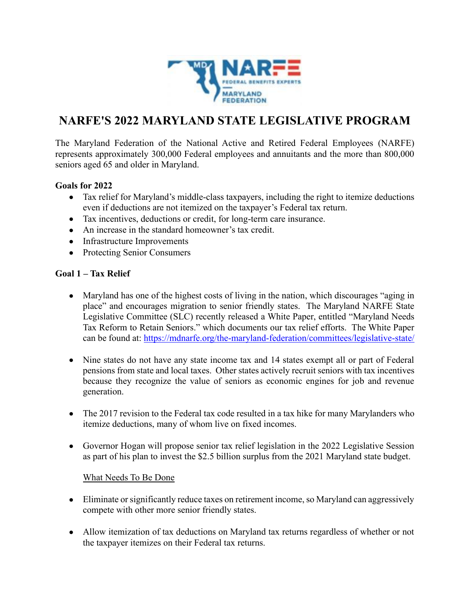

# **NARFE'S 2022 MARYLAND STATE LEGISLATIVE PROGRAM**

The Maryland Federation of the National Active and Retired Federal Employees (NARFE) represents approximately 300,000 Federal employees and annuitants and the more than 800,000 seniors aged 65 and older in Maryland.

#### **Goals for 2022**

- Tax relief for Maryland's middle-class taxpayers, including the right to itemize deductions even if deductions are not itemized on the taxpayer's Federal tax return.
- Tax incentives, deductions or credit, for long-term care insurance.
- An increase in the standard homeowner's tax credit.
- Infrastructure Improvements
- Protecting Senior Consumers

#### **Goal 1 – Tax Relief**

- Maryland has one of the highest costs of living in the nation, which discourages "aging in place" and encourages migration to senior friendly states. The Maryland NARFE State Legislative Committee (SLC) recently released a White Paper, entitled "Maryland Needs Tax Reform to Retain Seniors." which documents our tax relief efforts. The White Paper can be found at:<https://mdnarfe.org/the-maryland-federation/committees/legislative-state/>
- Nine states do not have any state income tax and 14 states exempt all or part of Federal pensions from state and local taxes. Other states actively recruit seniors with tax incentives because they recognize the value of seniors as economic engines for job and revenue generation.
- The 2017 revision to the Federal tax code resulted in a tax hike for many Marylanders who itemize deductions, many of whom live on fixed incomes.
- Governor Hogan will propose senior tax relief legislation in the 2022 Legislative Session as part of his plan to invest the \$2.5 billion surplus from the 2021 Maryland state budget.

#### What Needs To Be Done

- Eliminate or significantly reduce taxes on retirement income, so Maryland can aggressively compete with other more senior friendly states.
- Allow itemization of tax deductions on Maryland tax returns regardless of whether or not the taxpayer itemizes on their Federal tax returns.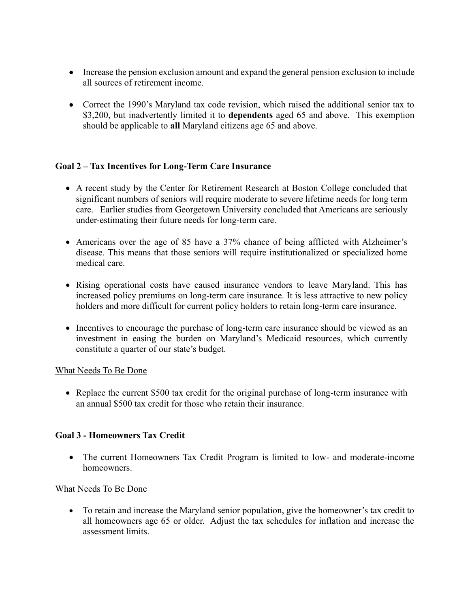- Increase the pension exclusion amount and expand the general pension exclusion to include all sources of retirement income.
- Correct the 1990's Maryland tax code revision, which raised the additional senior tax to \$3,200, but inadvertently limited it to **dependents** aged 65 and above. This exemption should be applicable to **all** Maryland citizens age 65 and above.

# **Goal 2 – Tax Incentives for Long-Term Care Insurance**

- A recent study by the Center for Retirement Research at Boston College concluded that significant numbers of seniors will require moderate to severe lifetime needs for long term care. Earlier studies from Georgetown University concluded that Americans are seriously under-estimating their future needs for long-term care.
- Americans over the age of 85 have a 37% chance of being afflicted with Alzheimer's disease. This means that those seniors will require institutionalized or specialized home medical care.
- Rising operational costs have caused insurance vendors to leave Maryland. This has increased policy premiums on long-term care insurance. It is less attractive to new policy holders and more difficult for current policy holders to retain long-term care insurance.
- Incentives to encourage the purchase of long-term care insurance should be viewed as an investment in easing the burden on Maryland's Medicaid resources, which currently constitute a quarter of our state's budget.

### What Needs To Be Done

• Replace the current \$500 tax credit for the original purchase of long-term insurance with an annual \$500 tax credit for those who retain their insurance.

### **Goal 3 - Homeowners Tax Credit**

• The current Homeowners Tax Credit Program is limited to low- and moderate-income homeowners.

### What Needs To Be Done

• To retain and increase the Maryland senior population, give the homeowner's tax credit to all homeowners age 65 or older. Adjust the tax schedules for inflation and increase the assessment limits.